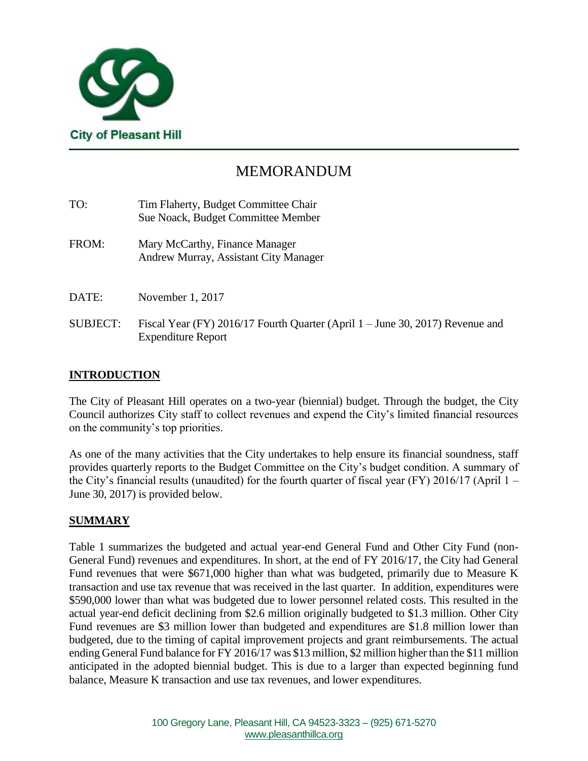

# MEMORANDUM

| TO:             | Tim Flaherty, Budget Committee Chair<br>Sue Noack, Budget Committee Member                                 |
|-----------------|------------------------------------------------------------------------------------------------------------|
| FROM:           | Mary McCarthy, Finance Manager<br>Andrew Murray, Assistant City Manager                                    |
| DATE:           | November 1, 2017                                                                                           |
| <b>SUBJECT:</b> | Fiscal Year (FY) 2016/17 Fourth Quarter (April 1 – June 30, 2017) Revenue and<br><b>Expenditure Report</b> |

## **INTRODUCTION**

The City of Pleasant Hill operates on a two-year (biennial) budget. Through the budget, the City Council authorizes City staff to collect revenues and expend the City's limited financial resources on the community's top priorities.

As one of the many activities that the City undertakes to help ensure its financial soundness, staff provides quarterly reports to the Budget Committee on the City's budget condition. A summary of the City's financial results (unaudited) for the fourth quarter of fiscal year (FY) 2016/17 (April 1 – June 30, 2017) is provided below.

## **SUMMARY**

Table 1 summarizes the budgeted and actual year-end General Fund and Other City Fund (non-General Fund) revenues and expenditures. In short, at the end of FY 2016/17, the City had General Fund revenues that were \$671,000 higher than what was budgeted, primarily due to Measure K transaction and use tax revenue that was received in the last quarter. In addition, expenditures were \$590,000 lower than what was budgeted due to lower personnel related costs. This resulted in the actual year-end deficit declining from \$2.6 million originally budgeted to \$1.3 million. Other City Fund revenues are \$3 million lower than budgeted and expenditures are \$1.8 million lower than budgeted, due to the timing of capital improvement projects and grant reimbursements. The actual ending General Fund balance for FY 2016/17 was \$13 million, \$2 million higher than the \$11 million anticipated in the adopted biennial budget. This is due to a larger than expected beginning fund balance, Measure K transaction and use tax revenues, and lower expenditures.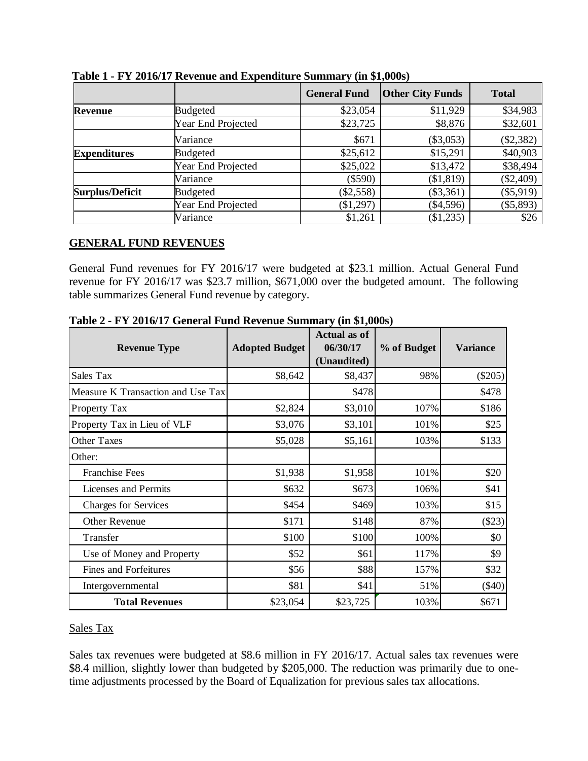|                        |                    | <b>General Fund</b> | <b>Other City Funds</b> | <b>Total</b> |
|------------------------|--------------------|---------------------|-------------------------|--------------|
| Revenue                | <b>Budgeted</b>    | \$23,054            | \$11,929                | \$34,983     |
|                        | Year End Projected | \$23,725            | \$8,876                 | \$32,601     |
|                        | Variance           | \$671               | $(\$3,053)$             | (\$2,382)    |
| <b>Expenditures</b>    | <b>Budgeted</b>    | \$25,612            | \$15,291                | \$40,903     |
|                        | Year End Projected | \$25,022            | \$13,472                | \$38,494     |
|                        | Variance           | $(\$590)$           | (\$1,819)               | $(\$2,409)$  |
| <b>Surplus/Deficit</b> | <b>Budgeted</b>    | \$2,558             | $(\$3,361)$             | (\$5,919)    |
|                        | Year End Projected | \$1,297             | $(\$4,596)$             | (\$5,893)    |
|                        | Variance           | \$1,261             | $(\$1,235)$             | \$26         |

**Table 1 - FY 2016/17 Revenue and Expenditure Summary (in \$1,000s)**

## **GENERAL FUND REVENUES**

General Fund revenues for FY 2016/17 were budgeted at \$23.1 million. Actual General Fund revenue for FY 2016/17 was \$23.7 million, \$671,000 over the budgeted amount. The following table summarizes General Fund revenue by category.

| <b>Revenue Type</b>               | <b>Adopted Budget</b> | <b>Actual as of</b><br>06/30/17<br>(Unaudited) | % of Budget | <b>Variance</b> |
|-----------------------------------|-----------------------|------------------------------------------------|-------------|-----------------|
| Sales Tax                         | \$8,642               | \$8,437                                        | 98%         | $(\$205)$       |
| Measure K Transaction and Use Tax |                       | \$478                                          |             | \$478           |
| Property Tax                      | \$2,824               | \$3,010                                        | 107%        | \$186           |
| Property Tax in Lieu of VLF       | \$3,076               | \$3,101                                        | 101%        | \$25            |
| <b>Other Taxes</b>                | \$5,028               | \$5,161                                        | 103%        | \$133           |
| Other:                            |                       |                                                |             |                 |
| <b>Franchise Fees</b>             | \$1,938               | \$1,958                                        | 101%        | \$20            |
| <b>Licenses and Permits</b>       | \$632                 | \$673                                          | 106%        | \$41            |
| <b>Charges for Services</b>       | \$454                 | \$469                                          | 103%        | \$15            |
| Other Revenue                     | \$171                 | \$148                                          | 87%         | $(\$23)$        |
| Transfer                          | \$100                 | \$100                                          | 100%        | \$0             |
| Use of Money and Property         | \$52                  | \$61                                           | 117%        | \$9             |
| <b>Fines and Forfeitures</b>      | \$56                  | \$88                                           | 157%        | \$32            |
| Intergovernmental                 | \$81                  | \$41                                           | 51%         | $(\$40)$        |
| <b>Total Revenues</b>             | \$23,054              | \$23,725                                       | 103%        | \$671           |

**Table 2 - FY 2016/17 General Fund Revenue Summary (in \$1,000s)**

#### Sales Tax

Sales tax revenues were budgeted at \$8.6 million in FY 2016/17. Actual sales tax revenues were \$8.4 million, slightly lower than budgeted by \$205,000. The reduction was primarily due to onetime adjustments processed by the Board of Equalization for previous sales tax allocations.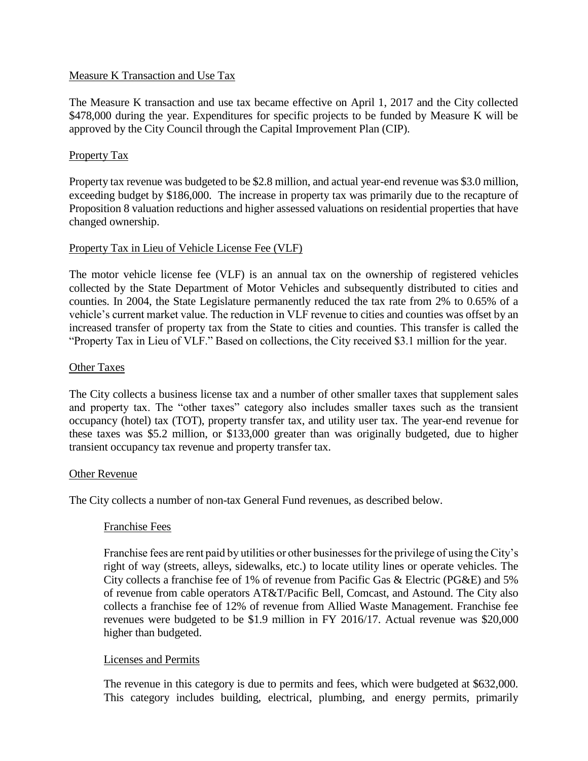#### Measure K Transaction and Use Tax

The Measure K transaction and use tax became effective on April 1, 2017 and the City collected \$478,000 during the year. Expenditures for specific projects to be funded by Measure K will be approved by the City Council through the Capital Improvement Plan (CIP).

### Property Tax

Property tax revenue was budgeted to be \$2.8 million, and actual year-end revenue was \$3.0 million, exceeding budget by \$186,000. The increase in property tax was primarily due to the recapture of Proposition 8 valuation reductions and higher assessed valuations on residential properties that have changed ownership.

#### Property Tax in Lieu of Vehicle License Fee (VLF)

The motor vehicle license fee (VLF) is an annual tax on the ownership of registered vehicles collected by the State Department of Motor Vehicles and subsequently distributed to cities and counties. In 2004, the State Legislature permanently reduced the tax rate from 2% to 0.65% of a vehicle's current market value. The reduction in VLF revenue to cities and counties was offset by an increased transfer of property tax from the State to cities and counties. This transfer is called the "Property Tax in Lieu of VLF." Based on collections, the City received \$3.1 million for the year.

#### Other Taxes

The City collects a business license tax and a number of other smaller taxes that supplement sales and property tax. The "other taxes" category also includes smaller taxes such as the transient occupancy (hotel) tax (TOT), property transfer tax, and utility user tax. The year-end revenue for these taxes was \$5.2 million, or \$133,000 greater than was originally budgeted, due to higher transient occupancy tax revenue and property transfer tax.

#### Other Revenue

The City collects a number of non-tax General Fund revenues, as described below.

#### Franchise Fees

Franchise fees are rent paid by utilities or other businesses for the privilege of using the City's right of way (streets, alleys, sidewalks, etc.) to locate utility lines or operate vehicles. The City collects a franchise fee of 1% of revenue from Pacific Gas & Electric (PG&E) and 5% of revenue from cable operators AT&T/Pacific Bell, Comcast, and Astound. The City also collects a franchise fee of 12% of revenue from Allied Waste Management. Franchise fee revenues were budgeted to be \$1.9 million in FY 2016/17. Actual revenue was \$20,000 higher than budgeted.

#### Licenses and Permits

The revenue in this category is due to permits and fees, which were budgeted at \$632,000. This category includes building, electrical, plumbing, and energy permits, primarily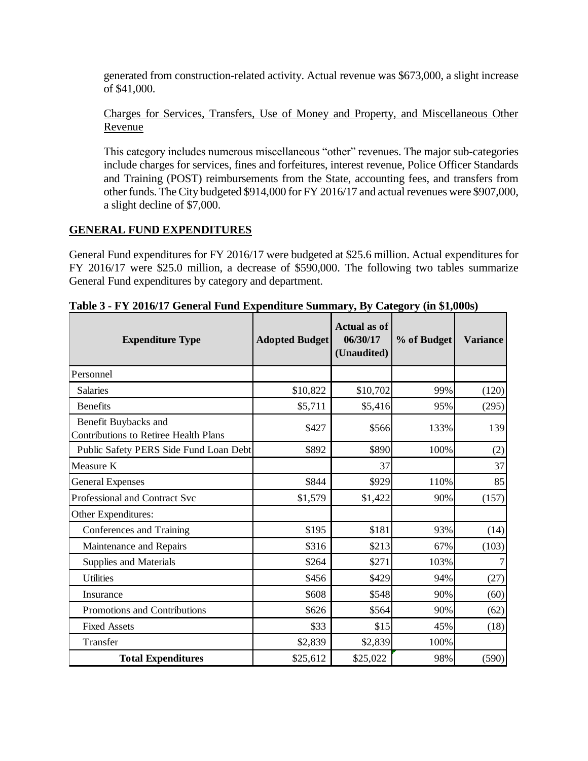generated from construction-related activity. Actual revenue was \$673,000, a slight increase of \$41,000.

Charges for Services, Transfers, Use of Money and Property, and Miscellaneous Other Revenue

This category includes numerous miscellaneous "other" revenues. The major sub-categories include charges for services, fines and forfeitures, interest revenue, Police Officer Standards and Training (POST) reimbursements from the State, accounting fees, and transfers from other funds. The City budgeted \$914,000 for FY 2016/17 and actual revenues were \$907,000, a slight decline of \$7,000.

## **GENERAL FUND EXPENDITURES**

General Fund expenditures for FY 2016/17 were budgeted at \$25.6 million. Actual expenditures for FY 2016/17 were \$25.0 million, a decrease of \$590,000. The following two tables summarize General Fund expenditures by category and department.

| <b>Expenditure Type</b>                                              | <b>Adopted Budget</b> | <b>Actual as of</b><br>06/30/17<br>(Unaudited) | % of Budget | <b>Variance</b> |
|----------------------------------------------------------------------|-----------------------|------------------------------------------------|-------------|-----------------|
| Personnel                                                            |                       |                                                |             |                 |
| <b>Salaries</b>                                                      | \$10,822              | \$10,702                                       | 99%         | (120)           |
| <b>Benefits</b>                                                      | \$5,711               | \$5,416                                        | 95%         | (295)           |
| Benefit Buybacks and<br><b>Contributions to Retiree Health Plans</b> | \$427                 | \$566                                          | 133%        | 139             |
| Public Safety PERS Side Fund Loan Debt                               | \$892                 | \$890                                          | 100%        | (2)             |
| Measure K                                                            |                       | 37                                             |             | 37              |
| <b>General Expenses</b>                                              | \$844                 | \$929                                          | 110%        | 85              |
| Professional and Contract Svc                                        | \$1,579               | \$1,422                                        | 90%         | (157)           |
| Other Expenditures:                                                  |                       |                                                |             |                 |
| Conferences and Training                                             | \$195                 | \$181                                          | 93%         | (14)            |
| Maintenance and Repairs                                              | \$316                 | \$213                                          | 67%         | (103)           |
| Supplies and Materials                                               | \$264                 | \$271                                          | 103%        |                 |
| <b>Utilities</b>                                                     | \$456                 | \$429                                          | 94%         | (27)            |
| Insurance                                                            | \$608                 | \$548                                          | 90%         | (60)            |
| Promotions and Contributions                                         | \$626                 | \$564                                          | 90%         | (62)            |
| <b>Fixed Assets</b>                                                  | \$33                  | \$15                                           | 45%         | (18)            |
| Transfer                                                             | \$2,839               | \$2,839                                        | 100%        |                 |
| <b>Total Expenditures</b>                                            | \$25,612              | \$25,022                                       | 98%         | (590)           |

**Table 3 - FY 2016/17 General Fund Expenditure Summary, By Category (in \$1,000s)**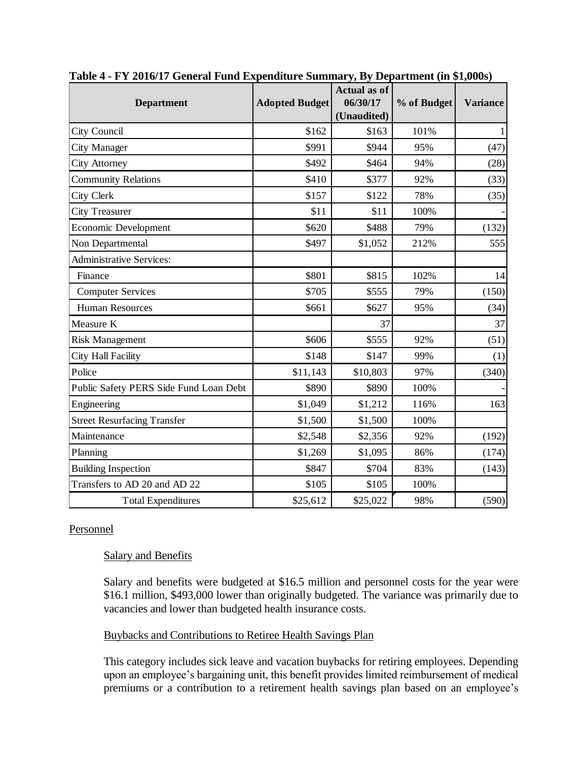|                                        |                       | <b>Actual as of</b> |             |                 |
|----------------------------------------|-----------------------|---------------------|-------------|-----------------|
| <b>Department</b>                      | <b>Adopted Budget</b> | 06/30/17            | % of Budget | <b>Variance</b> |
|                                        |                       | (Unaudited)         |             |                 |
| City Council                           | \$162                 | \$163               | 101%        | 1               |
| <b>City Manager</b>                    | \$991                 | \$944               | 95%         | (47)            |
| <b>City Attorney</b>                   | \$492                 | \$464               | 94%         | (28)            |
| <b>Community Relations</b>             | \$410                 | \$377               | 92%         | (33)            |
| City Clerk                             | \$157                 | \$122               | 78%         | (35)            |
| <b>City Treasurer</b>                  | \$11                  | \$11                | 100%        |                 |
| <b>Economic Development</b>            | \$620                 | \$488               | 79%         | (132)           |
| Non Departmental                       | \$497                 | \$1,052             | 212%        | 555             |
| <b>Administrative Services:</b>        |                       |                     |             |                 |
| Finance                                | \$801                 | \$815               | 102%        | 14              |
| <b>Computer Services</b>               | \$705                 | \$555               | 79%         | (150)           |
| <b>Human Resources</b>                 | \$661                 | \$627               | 95%         | (34)            |
| Measure K                              |                       | 37                  |             | 37              |
| <b>Risk Management</b>                 | \$606                 | \$555               | 92%         | (51)            |
| City Hall Facility                     | \$148                 | \$147               | 99%         | (1)             |
| Police                                 | \$11,143              | \$10,803            | 97%         | (340)           |
| Public Safety PERS Side Fund Loan Debt | \$890                 | \$890               | 100%        |                 |
| Engineering                            | \$1,049               | \$1,212             | 116%        | 163             |
| <b>Street Resurfacing Transfer</b>     | \$1,500               | \$1,500             | 100%        |                 |
| Maintenance                            | \$2,548               | \$2,356             | 92%         | (192)           |
| Planning                               | \$1,269               | \$1,095             | 86%         | (174)           |
| <b>Building Inspection</b>             | \$847                 | \$704               | 83%         | (143)           |
| Transfers to AD 20 and AD 22           | \$105                 | \$105               | 100%        |                 |
| <b>Total Expenditures</b>              | \$25,612              | \$25,022            | 98%         | (590)           |

**Table 4 - FY 2016/17 General Fund Expenditure Summary, By Department (in \$1,000s)**

## Personnel

## Salary and Benefits

Salary and benefits were budgeted at \$16.5 million and personnel costs for the year were \$16.1 million, \$493,000 lower than originally budgeted. The variance was primarily due to vacancies and lower than budgeted health insurance costs.

## Buybacks and Contributions to Retiree Health Savings Plan

This category includes sick leave and vacation buybacks for retiring employees. Depending upon an employee's bargaining unit, this benefit provides limited reimbursement of medical premiums or a contribution to a retirement health savings plan based on an employee's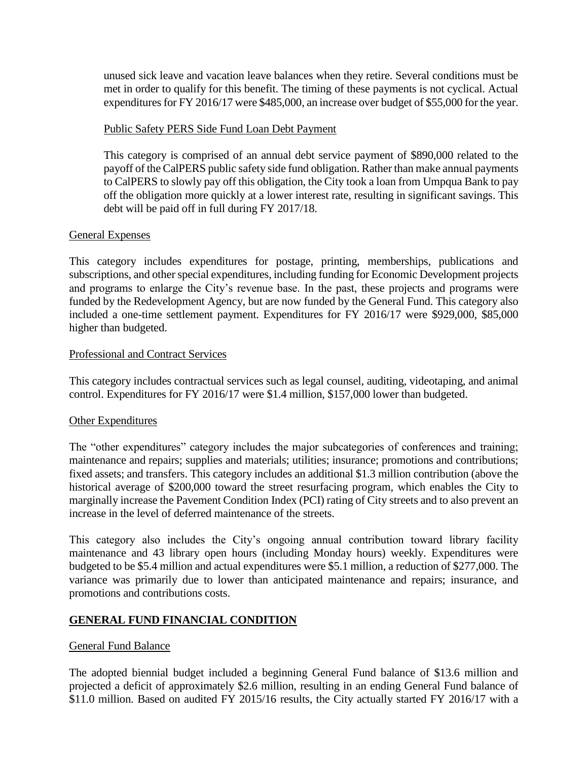unused sick leave and vacation leave balances when they retire. Several conditions must be met in order to qualify for this benefit. The timing of these payments is not cyclical. Actual expenditures for FY 2016/17 were \$485,000, an increase over budget of \$55,000 for the year.

### Public Safety PERS Side Fund Loan Debt Payment

This category is comprised of an annual debt service payment of \$890,000 related to the payoff of the CalPERS public safety side fund obligation. Rather than make annual payments to CalPERS to slowly pay off this obligation, the City took a loan from Umpqua Bank to pay off the obligation more quickly at a lower interest rate, resulting in significant savings. This debt will be paid off in full during FY 2017/18.

## General Expenses

This category includes expenditures for postage, printing, memberships, publications and subscriptions, and other special expenditures, including funding for Economic Development projects and programs to enlarge the City's revenue base. In the past, these projects and programs were funded by the Redevelopment Agency, but are now funded by the General Fund. This category also included a one-time settlement payment. Expenditures for FY 2016/17 were \$929,000, \$85,000 higher than budgeted.

#### Professional and Contract Services

This category includes contractual services such as legal counsel, auditing, videotaping, and animal control. Expenditures for FY 2016/17 were \$1.4 million, \$157,000 lower than budgeted.

#### Other Expenditures

The "other expenditures" category includes the major subcategories of conferences and training; maintenance and repairs; supplies and materials; utilities; insurance; promotions and contributions; fixed assets; and transfers. This category includes an additional \$1.3 million contribution (above the historical average of \$200,000 toward the street resurfacing program, which enables the City to marginally increase the Pavement Condition Index (PCI) rating of City streets and to also prevent an increase in the level of deferred maintenance of the streets.

This category also includes the City's ongoing annual contribution toward library facility maintenance and 43 library open hours (including Monday hours) weekly. Expenditures were budgeted to be \$5.4 million and actual expenditures were \$5.1 million, a reduction of \$277,000. The variance was primarily due to lower than anticipated maintenance and repairs; insurance, and promotions and contributions costs.

## **GENERAL FUND FINANCIAL CONDITION**

#### General Fund Balance

The adopted biennial budget included a beginning General Fund balance of \$13.6 million and projected a deficit of approximately \$2.6 million, resulting in an ending General Fund balance of \$11.0 million. Based on audited FY 2015/16 results, the City actually started FY 2016/17 with a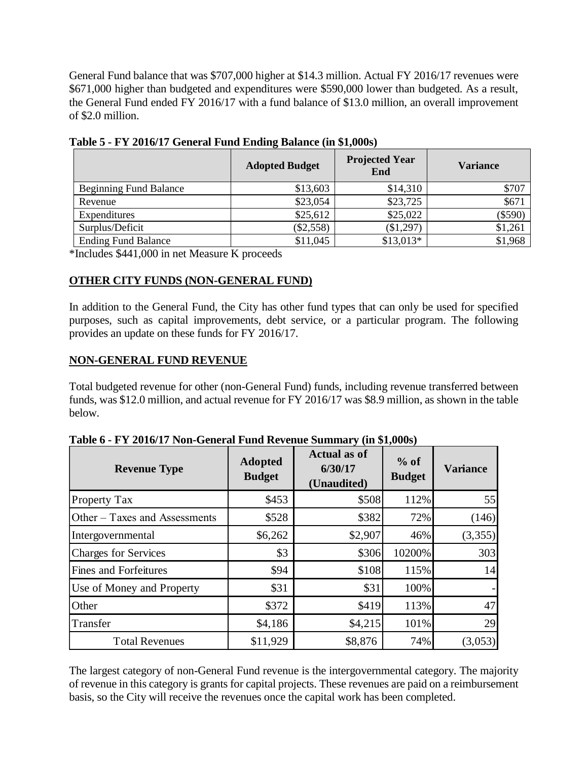General Fund balance that was \$707,000 higher at \$14.3 million. Actual FY 2016/17 revenues were \$671,000 higher than budgeted and expenditures were \$590,000 lower than budgeted. As a result, the General Fund ended FY 2016/17 with a fund balance of \$13.0 million, an overall improvement of \$2.0 million.

|                               | <b>Adopted Budget</b> | <b>Projected Year</b><br>End | <b>Variance</b> |
|-------------------------------|-----------------------|------------------------------|-----------------|
| <b>Beginning Fund Balance</b> | \$13,603              | \$14,310                     | \$707           |
| Revenue                       | \$23,054              | \$23,725                     | \$671           |
| Expenditures                  | \$25,612              | \$25,022                     | $(\$590)$       |
| Surplus/Deficit               | (\$2,558)             | (\$1,297)                    | \$1,261         |
| <b>Ending Fund Balance</b>    | \$11,045              | $$13,013*$                   | \$1,968         |

**Table 5 - FY 2016/17 General Fund Ending Balance (in \$1,000s)**

\*Includes \$441,000 in net Measure K proceeds

## **OTHER CITY FUNDS (NON-GENERAL FUND)**

In addition to the General Fund, the City has other fund types that can only be used for specified purposes, such as capital improvements, debt service, or a particular program. The following provides an update on these funds for FY 2016/17.

## **NON-GENERAL FUND REVENUE**

Total budgeted revenue for other (non-General Fund) funds, including revenue transferred between funds, was \$12.0 million, and actual revenue for FY 2016/17 was \$8.9 million, as shown in the table below.

| <b>Revenue Type</b>                                                                                                                                                                                                                                                                            | <b>Adopted</b><br><b>Budget</b> | <b>Actual as of</b><br>6/30/17<br>(Unaudited) | $%$ of<br><b>Budget</b> | <b>Variance</b> |
|------------------------------------------------------------------------------------------------------------------------------------------------------------------------------------------------------------------------------------------------------------------------------------------------|---------------------------------|-----------------------------------------------|-------------------------|-----------------|
| Property Tax                                                                                                                                                                                                                                                                                   | \$453                           | \$508                                         | 112%                    | 55              |
| Other - Taxes and Assessments                                                                                                                                                                                                                                                                  | \$528                           | \$382                                         | 72%                     | (146)           |
| Intergovernmental                                                                                                                                                                                                                                                                              | \$6,262                         | \$2,907                                       | 46%                     | (3,355)         |
| <b>Charges for Services</b>                                                                                                                                                                                                                                                                    | \$3                             | \$306                                         | 10200%                  | 303             |
| Fines and Forfeitures                                                                                                                                                                                                                                                                          | \$94                            | \$108                                         | 115%                    | 14              |
| Use of Money and Property                                                                                                                                                                                                                                                                      | \$31                            | \$31                                          | 100%                    |                 |
| Other                                                                                                                                                                                                                                                                                          | \$372                           | \$419                                         | 113%                    | 47              |
| Transfer                                                                                                                                                                                                                                                                                       | \$4,186                         | \$4,215                                       | 101%                    | 29              |
| <b>Total Revenues</b>                                                                                                                                                                                                                                                                          | \$11,929                        | \$8,876                                       | 74%                     | (3,053)         |
| The largest category of non-General Fund revenue is the intergovernmental category. The major<br>of revenue in this category is grants for capital projects. These revenues are paid on a reimburser<br>basis, so the City will receive the revenues once the capital work has been completed. |                                 |                                               |                         |                 |

**Table 6 - FY 2016/17 Non-General Fund Revenue Summary (in \$1,000s)**

The largest category of non-General Fund revenue is the intergovernmental category. The majority of revenue in this category is grants for capital projects. These revenues are paid on a reimbursement